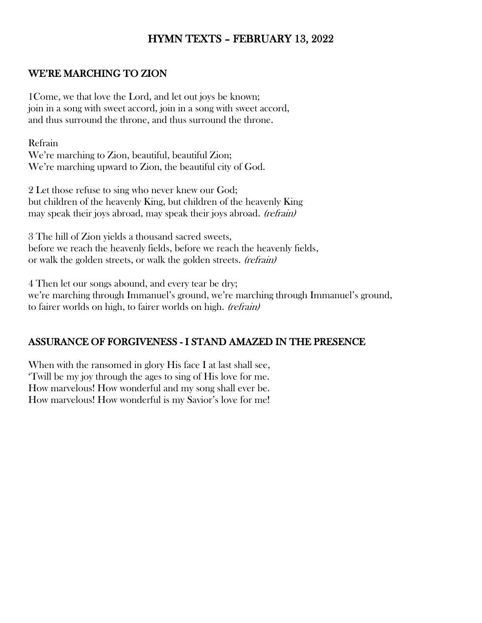# HYMN TEXTS – FEBRUARY 13, 2022

#### WE'RE MARCHING TO ZION

1Come, we that love the Lord, and let out joys be known; join in a song with sweet accord, join in a song with sweet accord, and thus surround the throne, and thus surround the throne.

Refrain We're marching to Zion, beautiful, beautiful Zion; We're marching upward to Zion, the beautiful city of God.

2 Let those refuse to sing who never knew our God; but children of the heavenly King, but children of the heavenly King may speak their joys abroad, may speak their joys abroad. *(refrain)* 

3 The hill of Zion yields a thousand sacred sweets, before we reach the heavenly fields, before we reach the heavenly fields, or walk the golden streets, or walk the golden streets. (refrain)

4 Then let our songs abound, and every tear be dry; we're marching through Immanuel's ground, we're marching through Immanuel's ground, to fairer worlds on high, to fairer worlds on high. (refrain)

#### ASSURANCE OF FORGIVENESS - I STAND AMAZED IN THE PRESENCE

When with the ransomed in glory His face I at last shall see, 'Twill be my joy through the ages to sing of His love for me. How marvelous! How wonderful and my song shall ever be. How marvelous! How wonderful is my Savior's love for me!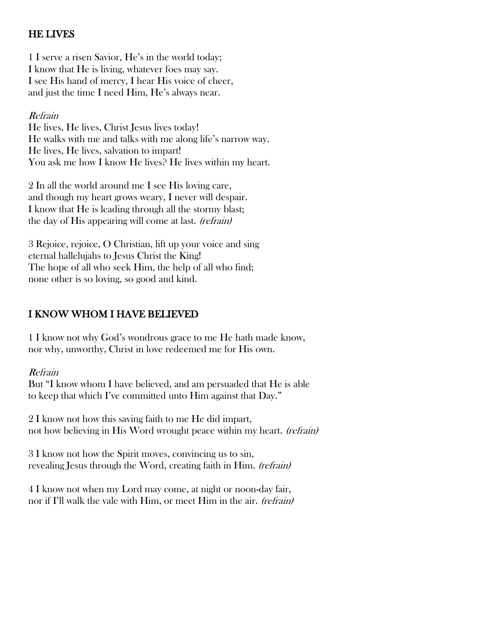## HE LIVES

1 I serve a risen Savior, He's in the world today; I know that He is living, whatever foes may say. I see His hand of mercy, I hear His voice of cheer, and just the time I need Him, He's always near.

### Refrain

He lives, He lives, Christ Jesus lives today! He walks with me and talks with me along life's narrow way. He lives, He lives, salvation to impart! You ask me how I know He lives? He lives within my heart.

2 In all the world around me I see His loving care, and though my heart grows weary, I never will despair. I know that He is leading through all the stormy blast; the day of His appearing will come at last. (refrain)

3 Rejoice, rejoice, O Christian, lift up your voice and sing eternal hallelujahs to Jesus Christ the King! The hope of all who seek Him, the help of all who find; none other is so loving, so good and kind.

### I KNOW WHOM I HAVE BELIEVED

1 I know not why God's wondrous grace to me He hath made know, nor why, unworthy, Christ in love redeemed me for His own.

Refrain

But "I know whom I have believed, and am persuaded that He is able to keep that which I've committed unto Him against that Day."

2 I know not how this saving faith to me He did impart, not how believing in His Word wrought peace within my heart. *(refrain)* 

3 I know not how the Spirit moves, convincing us to sin, revealing Jesus through the Word, creating faith in Him. *(refrain)* 

4 I know not when my Lord may come, at night or noon-day fair, nor if I'll walk the vale with Him, or meet Him in the air. *(refrain)*